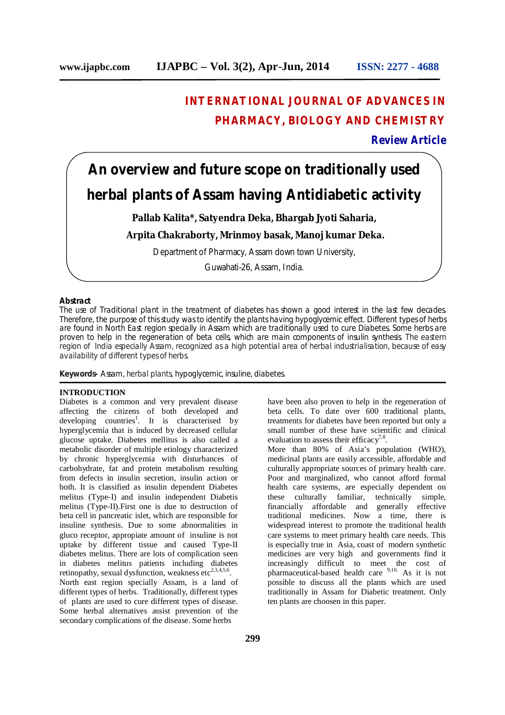# **INTERNATIONAL JOURNAL OF ADVANCES IN PHARMACY, BIOLOGY AND CHEMISTRY**

# **Review Article**

# **An overview and future scope on traditionally used herbal plants of Assam having Antidiabetic activity**

# **Pallab Kalita\*, Satyendra Deka, Bhargab Jyoti Saharia,**

# **Arpita Chakraborty, Mrinmoy basak, Manoj kumar Deka.**

Department of Pharmacy, Assam down town University,

Guwahati-26, Assam, India.

#### **Abstract**

The use of Traditional plant in the treatment of diabetes has shown a good interest in the last few decades. Therefore, the purpose of this study was to identify the plants having hypoglycemic effect. Different types of herbs are found in North East region specially in Assam which are traditionally used to cure Diabetes. Some herbs are proven to help in the regeneration of beta cells, which are main components of insulin synthesis. The eastern region of India especially Assam, recognized as a high potential area of herbal industrialisation, because of easy availability of different types of herbs.

**Keywords-** Assam, herbal plants, hypoglycemic, insuline, diabetes.

#### **INTRODUCTION**

Diabetes is a common and very prevalent disease affecting the citizens of both developed and developing countries<sup>1</sup>. It is characterised by hyperglycemia that is induced by decreased cellular glucose uptake. Diabetes mellitus is also called a metabolic disorder of multiple etiology characterized by chronic hyperglycemia with disturbances of carbohydrate, fat and protein metabolism resulting from defects in insulin secretion, insulin action or both. It is classified as insulin dependent Diabetes melitus (Type-I) and insulin independent Diabetis melitus (Type-II).First one is due to destruction of beta cell in pancreatic islet, which are responsible for insuline synthesis. Due to some abnormalities in gluco receptor, appropiate amount of insuline is not uptake by different tissue and caused Type-II diabetes melitus. There are lots of complication seen in diabetes melitus patients including diabetes retinopathy, sexual dysfunction, weakness etc<sup>2,3,4,5,6</sup>. North east region specially Assam, is a land of different types of herbs. Traditionally, different types of plants are used to cure different types of disease. Some herbal alternatives assist prevention of the secondary complications of the disease. Some herbs

have been also proven to help in the regeneration of beta cells. To date over 600 traditional plants, treatments for diabetes have been reported but only a small number of these have scientific and clinical evaluation to assess their efficacy<sup>7,8</sup>.

More than 80% of Asia's population (WHO), medicinal plants are easily accessible, affordable and culturally appropriate sources of primary health care. Poor and marginalized, who cannot afford formal health care systems, are especially dependent on these culturally familiar, technically simple, financially affordable and generally effective traditional medicines. Now a time, there is widespread interest to promote the traditional health care systems to meet primary health care needs. This is especially true in Asia, coast of modern synthetic medicines are very high and governments find it increasingly difficult to meet the cost of pharmaceutical-based health care <sup>9,10.</sup> As it is not possible to discuss all the plants which are used traditionally in Assam for Diabetic treatment. Only ten plants are choosen in this paper.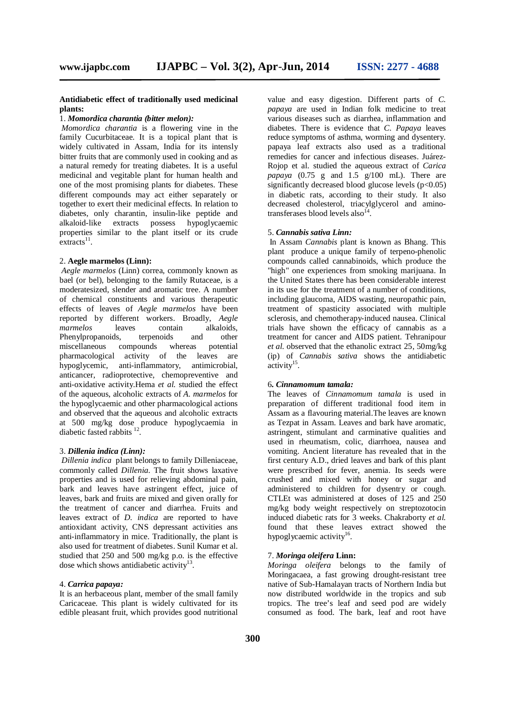#### **Antidiabetic effect of traditionally used medicinal plants:**

#### 1. *Momordica charantia (bitter melon):*

*Momordica charantia* is a flowering vine in the family Cucurbitaceae. It is a topical plant that is widely cultivated in Assam, India for its intensly bitter fruits that are commonly used in cooking and as a natural remedy for treating diabetes. It is a useful medicinal and vegitable plant for human health and one of the most promising plants for diabetes. These different compounds may act either separately or together to exert their medicinal effects. In relation to diabetes, only charantin, insulin-like peptide and alkaloid-like extracts possess hypoglycaemic properties similar to the plant itself or its crude  $extracts<sup>11</sup>.$ 

#### 2. **Aegle marmelos (Linn):**

*Aegle marmelos* (Linn) correa, commonly known as bael (or bel), belonging to the family Rutaceae, is a moderatesized, slender and aromatic tree. A number of chemical constituents and various therapeutic effects of leaves of *Aegle marmelos* have been reported by different workers. Broadly, *Aegle marmelos* leaves contain alkaloids, Phenylpropanoids, terpenoids and other miscellaneous compounds whereas potential pharmacological activity of the leaves are hypoglycemic, anti-inflammatory, antimicrobial, anticancer, radioprotective, chemopreventive and anti-oxidative activity.Hema *et al.* studied the effect of the aqueous, alcoholic extracts of *A. marmelos* for the hypoglycaemic and other pharmacological actions and observed that the aqueous and alcoholic extracts at 500 mg/kg dose produce hypoglycaemia in diabetic fasted rabbits  $^{12}$ .

#### 3. *Dillenia indica (Linn):*

*Dillenia indica* plant belongs to family Dilleniaceae, commonly called *Dillenia.* The fruit shows laxative properties and is used for relieving abdominal pain, bark and leaves have astringent effect, juice of leaves, bark and fruits are mixed and given orally for the treatment of cancer and diarrhea. Fruits and leaves extract of *D. indica* are reported to have antioxidant activity, CNS depressant activities ans anti-inflammatory in mice. Traditionally, the plant is also used for treatment of diabetes. Sunil Kumar et al. studied that 250 and 500 mg/kg p.o. is the effective dose which shows antidiabetic activity<sup>13</sup>.

#### 4. *Carrica papaya:*

It is an herbaceous plant, member of the small family Caricaceae. This plant is widely cultivated for its edible pleasant fruit, which provides good nutritional

value and easy digestion. Different parts of *C. papaya* are used in Indian folk medicine to treat various diseases such as diarrhea, inflammation and diabetes. There is evidence that *C. Papaya* leaves reduce symptoms of asthma, worming and dysentery. papaya leaf extracts also used as a traditional remedies for cancer and infectious diseases. Juárez-Rojop et al. studied the aqueous extract of *Carica papaya*  $(0.75 \text{ g}$  and  $1.5 \text{ g}/100 \text{ mL}$ ). There are significantly decreased blood glucose levels  $(p<0.05)$ in diabetic rats, according to their study. It also decreased cholesterol, triacylglycerol and aminotransferases blood levels also $^{14}$ .

#### 5. *Cannabis sativa Linn:*

In Assam *Cannabis* plant is known as Bhang. This plant produce a unique family of terpeno-phenolic compounds called cannabinoids, which produce the "high" one experiences from smoking marijuana. In the United States there has been considerable interest in its use for the treatment of a number of conditions, including glaucoma, AIDS wasting, neuropathic pain, treatment of spasticity associated with multiple sclerosis, and chemotherapy-induced nausea. Clinical trials have shown the efficacy of cannabis as a treatment for cancer and AIDS patient. Tehranipour *et al.* observed that the ethanolic extract 25, 50mg/kg (ip) of *Cannabis sativa* shows the antidiabetic  $\arctivity$ <sup>15</sup>.

#### 6*. Cinnamomum tamala:*

The leaves of *Cinnamomum tamala* is used in preparation of different traditional food item in Assam as a flavouring material.The leaves are known as Tezpat in Assam. Leaves and bark have aromatic, astringent, stimulant and carminative qualities and used in rheumatism, colic, diarrhoea, nausea and vomiting. Ancient literature has revealed that in the first century A.D., dried leaves and bark of this plant were prescribed for fever, anemia. Its seeds were crushed and mixed with honey or sugar and administered to children for dysentry or cough. CTLEt was administered at doses of 125 and 250 mg/kg body weight respectively on streptozotocin induced diabetic rats for 3 weeks. Chakraborty *et al.* found that these leaves extract showed the hypoglycaemic activity<sup>16</sup>.

#### 7. *Moringa oleifera* **Linn:**

*Moringa oleifera* belongs to the family of Moringacaea, a fast growing drought-resistant tree native of Sub-Hamalayan tracts of Northern India but now distributed worldwide in the tropics and sub tropics. The tree's leaf and seed pod are widely consumed as food. The bark, leaf and root have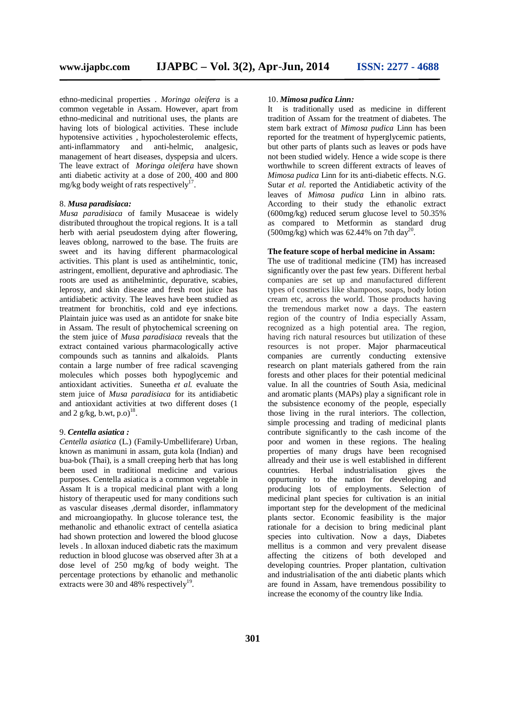ethno-medicinal properties . *Moringa oleifera* is a common vegetable in Assam. However, apart from ethno-medicinal and nutritional uses, the plants are having lots of biological activities. These include hypotensive activities , hypocholesterolemic effects, anti-inflammatory and anti-helmic, analgesic, management of heart diseases, dyspepsia and ulcers. The leave extract of *Moringa oleifera* have shown anti diabetic activity at a dose of 200, 400 and 800 mg/kg body weight of rats respectively<sup>17</sup>.

#### 8. *Musa paradisiaca:*

*Musa paradisiaca* of family Musaceae is widely distributed throughout the tropical regions. It is a tall herb with aerial pseudostem dying after flowering, leaves oblong, narrowed to the base. The fruits are sweet and its having different pharmacological activities. This plant is used as antihelmintic, tonic, astringent, emollient, depurative and aphrodiasic. The roots are used as antihelmintic, depurative, scabies, leprosy, and skin disease and fresh root juice has antidiabetic activity. The leaves have been studied as treatment for bronchitis, cold and eye infections. Plaintain juice was used as an antidote for snake bite in Assam. The result of phytochemical screening on the stem juice of *Musa paradisiaca* reveals that the extract contained various pharmacologically active compounds such as tannins and alkaloids. Plants contain a large number of free radical scavenging molecules which posses both hypoglycemic and antioxidant activities. Suneetha *et al.* evaluate the stem juice of *Musa paradisiaca* for its antidiabetic and antioxidant activities at two different doses (1 and 2  $g/kg$ , b.wt, p.o)<sup>18</sup>.

#### 9. *Centella asiatica :*

*Centella asiatica* (L.) (Family-Umbelliferare) Urban, known as manimuni in assam, guta kola (Indian) and bua-bok (Thai), is a small creeping herb that has long been used in traditional medicine and various purposes. Centella asiatica is a common vegetable in Assam It is a tropical medicinal plant with a long history of therapeutic used for many conditions such as vascular diseases ,dermal disorder, inflammatory and microangiopathy. In glucose tolerance test, the methanolic and ethanolic extract of centella asiatica had shown protection and lowered the blood glucose levels . In alloxan induced diabetic rats the maximum reduction in blood glucose was observed after 3h at a dose level of 250 mg/kg of body weight. The percentage protections by ethanolic and methanolic extracts were 30 and 48% respectively<sup>19</sup>.

#### 10. *Mimosa pudica Linn:*

It is traditionally used as medicine in different tradition of Assam for the treatment of diabetes. The stem bark extract of *Mimosa pudica* Linn has been reported for the treatment of hyperglycemic patients, but other parts of plants such as leaves or pods have not been studied widely. Hence a wide scope is there worthwhile to screen different extracts of leaves of *Mimosa pudica* Linn for its anti-diabetic effects. N.G. Sutar *et al.* reported the Antidiabetic activity of the leaves of *Mimosa pudica* Linn in albino rats. According to their study the ethanolic extract (600mg/kg) reduced serum glucose level to 50.35% as compared to Metformin as standard drug  $(500 \text{mg/kg})$  which was 62.44% on 7th day<sup>20</sup>.

#### **The feature scope of herbal medicine in Assam:**

The use of traditional medicine (TM) has increased significantly over the past few years. Different herbal companies are set up and manufactured different types of cosmetics like shampoos, soaps, body lotion cream etc, across the world. Those products having the tremendous market now a days. The eastern region of the country of India especially Assam, recognized as a high potential area. The region, having rich natural resources but utilization of these resources is not proper. Major pharmaceutical companies are currently conducting extensive research on plant materials gathered from the rain forests and other places for their potential medicinal value. In all the countries of South Asia, medicinal and aromatic plants (MAPs) play a significant role in the subsistence economy of the people, especially those living in the rural interiors. The collection, simple processing and trading of medicinal plants contribute significantly to the cash income of the poor and women in these regions. The healing properties of many drugs have been recognised allready and their use is well established in different countries. Herbal industrialisation gives the oppurtunity to the nation for developing and producing lots of employments. Selection of medicinal plant species for cultivation is an initial important step for the development of the medicinal plants sector. Economic feasibility is the major rationale for a decision to bring medicinal plant species into cultivation. Now a days, Diabetes mellitus is a common and very prevalent disease affecting the citizens of both developed and developing countries. Proper plantation, cultivation and industrialisation of the anti diabetic plants which are found in Assam, have tremendous possibility to increase the economy of the country like India.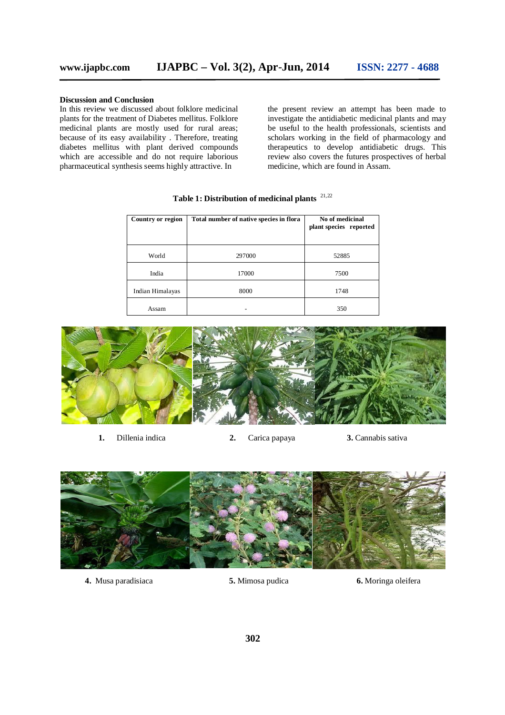### **Discussion and Conclusion**

In this review we discussed about folklore medicinal plants for the treatment of Diabetes mellitus. Folklore medicinal plants are mostly used for rural areas; because of its easy availability . Therefore, treating diabetes mellitus with plant derived compounds which are accessible and do not require laborious pharmaceutical synthesis seems highly attractive. In

the present review an attempt has been made to investigate the antidiabetic medicinal plants and may be useful to the health professionals, scientists and scholars working in the field of pharmacology and therapeutics to develop antidiabetic drugs. This review also covers the futures prospectives of herbal medicine, which are found in Assam.

| Country or region | Total number of native species in flora | No of medicinal<br>plant species reported |
|-------------------|-----------------------------------------|-------------------------------------------|
| World             | 297000                                  | 52885                                     |
| India             | 17000                                   | 7500                                      |
| Indian Himalayas  | 8000                                    | 1748                                      |
| Assam             |                                         | 350                                       |

**Table 1: Distribution of medicinal plants**  21,22



**1.** Dillenia indica **2.** Carica papaya **3.** Cannabis sativa



**4.** Musa paradisiaca **5.** Mimosa pudica **6.** Moringa oleifera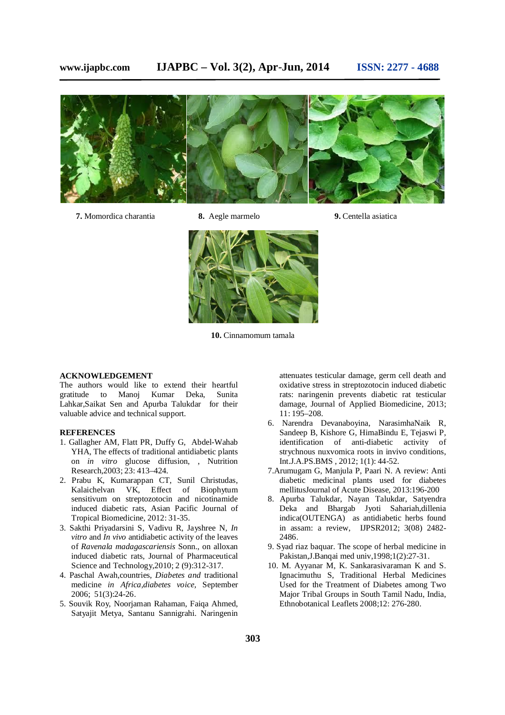

- **7.** Momordica charantia **8.** Aegle marmelo **9.** Centella asiatica
- 
- 



**10.** Cinnamomum tamala

#### **ACKNOWLEDGEMENT**

The authors would like to extend their heartful gratitude to Manoj Kumar Deka, Sunita Lahkar,Saikat Sen and Apurba Talukdar for their valuable advice and technical support.

#### **REFERENCES**

- 1. Gallagher AM, Flatt PR, Duffy G, Abdel-Wahab YHA, The effects of traditional antidiabetic plants on *in vitro* glucose diffusion, , Nutrition Research,2003; 23: 413–424.
- 2. Prabu K, Kumarappan CT, Sunil Christudas, Kalaichelvan VK, Effect of Biophytum sensitivum on streptozotocin and nicotinamide induced diabetic rats, Asian Pacific Journal of Tropical Biomedicine, 2012: 31-35.
- 3. Sakthi Priyadarsini S, Vadivu R, Jayshree N, *In vitro* and *In vivo* antidiabetic activity of the leaves of *Ravenala madagascariensis* Sonn., on alloxan induced diabetic rats, Journal of Pharmaceutical Science and Technology,2010; 2 (9):312-317.
- 4. Paschal Awah,countries, *Diabetes and* traditional medicine *in Africa,diabetes voice,* September 2006; 51(3):24-26.
- 5. Souvik Roy, Noorjaman Rahaman, Faiqa Ahmed, Satyajit Metya, Santanu Sannigrahi. Naringenin

attenuates testicular damage, germ cell death and oxidative stress in streptozotocin induced diabetic rats: naringenin prevents diabetic rat testicular damage, Journal of Applied Biomedicine, 2013; 11: 195–208.

- 6. Narendra Devanaboyina, NarasimhaNaik R, Sandeep B, Kishore G, HimaBindu E, Tejaswi P, identification of anti-diabetic activity of strychnous nuxvomica roots in invivo conditions, Int.J.A.PS.BMS , 2012; 1(1): 44-52*.*
- 7.Arumugam G, Manjula P, Paari N. A review: Anti diabetic medicinal plants used for diabetes mellitusJournal of Acute Disease, 2013:196-200
- 8. Apurba Talukdar, Nayan Talukdar, Satyendra Deka and Bhargab Jyoti Sahariah,dillenia indica(OUTENGA) as antidiabetic herbs found in assam: a review, IJPSR2012; 3(08) 2482- 2486.
- 9. Syad riaz baquar. The scope of herbal medicine in Pakistan,J.Banqai med univ,1998;1(2):27-31.
- 10. M. Ayyanar M, K. Sankarasivaraman K and S. Ignacimuthu S, Traditional Herbal Medicines Used for the Treatment of Diabetes among Two Major Tribal Groups in South Tamil Nadu, India, Ethnobotanical Leaflets 2008;12: 276-280.